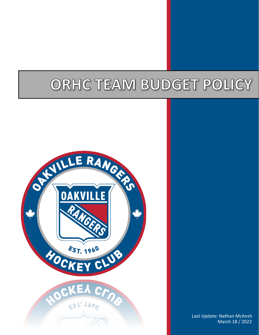# ORHC TEAM BUDGET POLICY



Last Update: Nathan McAnsh March 18 / 2022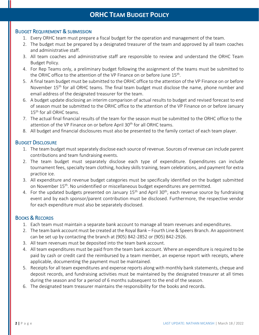# BUDGET REQUIREMENT & SUBMISSION

- 1. Every ORHC team must prepare a fiscal budget for the operation and management of the team.
- 2. The budget must be prepared by a designated treasurer of the team and approved by all team coaches and administrative staff.
- 3. All team coaches and administrative staff are responsible to review and understand the ORHC Team Budget Policy.
- 4. For Rep Teams only, a preliminary budget following the assignment of the teams must be submitted to the ORHC office to the attention of the VP Finance on or before June 15<sup>th</sup>.
- 5. A final team budget must be submitted to the ORHC office to the attention of the VP Finance on or before November 15<sup>th</sup> for all ORHC teams. The final team budget must disclose the name, phone number and email address of the designated treasurer for the team.
- 6. A budget update disclosing an interim comparison of actual results to budget and revised forecast to end of season must be submitted to the ORHC office to the attention of the VP Finance on or before January 15<sup>th</sup> for all ORHC teams.
- 7. The actual final financial results of the team for the season must be submitted to the ORHC office to the attention of the VP Finance on or before April 30<sup>th</sup> for all ORHC teams.
- 8. All budget and financial disclosures must also be presented to the family contact of each team player.

# BUDGET DISCLOSURE

- 1. The team budget must separately disclose each source of revenue. Sources of revenue can include parent contributions and team fundraising events.
- 2. The team budget must separately disclose each type of expenditure. Expenditures can include tournament fees, specialty team clothing, hockey skills training, team celebrations, and payment for extra practice ice.
- 3. All expenditure and revenue budget categories must be specifically identified on the budget submitted on November 15<sup>th</sup>. No unidentified or miscellaneous budget expenditures are permitted.
- 4. For the updated budgets presented on January  $15<sup>th</sup>$  and April 30<sup>th</sup>, each revenue source by fundraising event and by each sponsor/parent contribution must be disclosed. Furthermore, the respective vendor for each expenditure must also be separately disclosed.

# BOOKS & RECORDS

- 1. Each team must maintain a separate bank account to manage all team revenues and expenditures.
- 2. The team bank account must be created at the Royal Bank Fourth Line & Speers Branch. An appointment can be set up by contacting the branch at (905) 842-2852 or (905) 842-2926.
- 3. All team revenues must be deposited into the team bank account.
- 4. All team expenditures must be paid from the team bank account. Where an expenditure is required to be paid by cash or credit card the reimbursed by a team member, an expense report with receipts, where applicable, documenting the payment must be maintained.
- 5. Receipts for all team expenditures and expense reports along with monthly bank statements, cheque and deposit records, and fundraising activities must be maintained by the designated treasurer at all times during the season and for a period of 6 months subsequent to the end of the season.
- 6. The designated team treasurer maintains the responsibility for the books and records.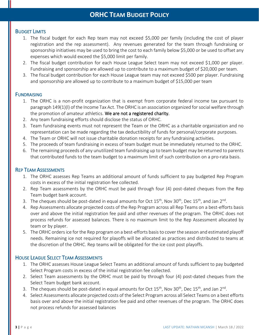# BUDGET LIMITS

- 1. The fiscal budget for each Rep team may not exceed \$5,000 per family (including the cost of player registration and the rep assessment). Any revenues generated for the team through fundraising or sponsorship initiatives may be used to bring the cost to each family below \$5,000 or be used to offset any expenses which would exceed the \$5,000 limit per family.
- 2. The fiscal budget contribution for each House League Select team may not exceed \$1,000 per player. Fundraising and sponsorship are allowed up to contribute to a maximum budget of \$20,000 per team.
- 3. The fiscal budget contribution for each House League team may not exceed \$500 per player. Fundraising and sponsorship are allowed up to contribute to a maximum budget of \$15,000 per team

#### **FUNDRAISING**

- 1. The ORHC is a non-profit organization that is exempt from corporate federal income tax pursuant to paragraph 149(1)(l) of the Income Tax Act. The ORHC is an association organized for social welfare through the promotion of amateur athletics. We are not a registered charity.
- 2. Any team fundraising efforts should disclose the status of ORHC.
- 3. Team fundraising events must not represent the Team or the ORHC as a charitable organization and no representation can be made regarding the tax deductibility of funds for personal/corporate purposes.
- 4. The Team or ORHC will not issue charitable donation receipts for any fundraising activities.
- 5. The proceeds of team fundraising in excess of team budget must be immediately returned to the ORHC.
- 6. The remaining proceeds of any unutilized team fundraising up to team budget may be returned to parents that contributed funds to the team budget to a maximum limit of such contribution on a pro-rata basis.

#### REP TEAM ASSESSMENTS

- 1. The ORHC assesses Rep Teams an additional amount of funds sufficient to pay budgeted Rep Program costs in excess of the initial registration fee collected.
- 2. Rep Team assessments by the ORHC must be paid through four (4) post-dated cheques from the Rep Team budget bank account.
- 3. The cheques should be post-dated in equal amounts for Oct  $15^{th}$ , Nov 30<sup>th</sup>, Dec  $15^{th}$ , and Jan 2<sup>nd</sup>.
- 4. Rep Assessments allocate projected costs of the Rep Program across all Rep Teams on a best-efforts basis over and above the initial registration fee paid and other revenues of the program. The ORHC does not process refunds for assessed balances. There is no maximum limit to the Rep Assessment allocated by team or by player.
- 5. The ORHC orders ice for the Rep program on a best-efforts basis to cover the season and estimated playoff needs. Remaining ice not required for playoffs will be allocated as practices and distributed to teams at the discretion of the ORHC. Rep teams will be obligated for the ice cost post playoffs.

# HOUSE LEAGUE SELECT TEAM ASSESSMENTS

- 1. The ORHC assesses House League Select Teams an additional amount of funds sufficient to pay budgeted Select Program costs in excess of the initial registration fee collected.
- 2. Select Team assessments by the ORHC must be paid by through four (4) post-dated cheques from the Select Team budget bank account.
- 3. The cheques should be post-dated in equal amounts for Oct  $15^{th}$ , Nov 30<sup>th</sup>, Dec  $15^{th}$ , and Jan 2<sup>nd</sup>.
- 4. Select Assessments allocate projected costs of the Select Program across all Select Teams on a best efforts basis over and above the initial registration fee paid and other revenues of the program. The ORHC does not process refunds for assessed balances